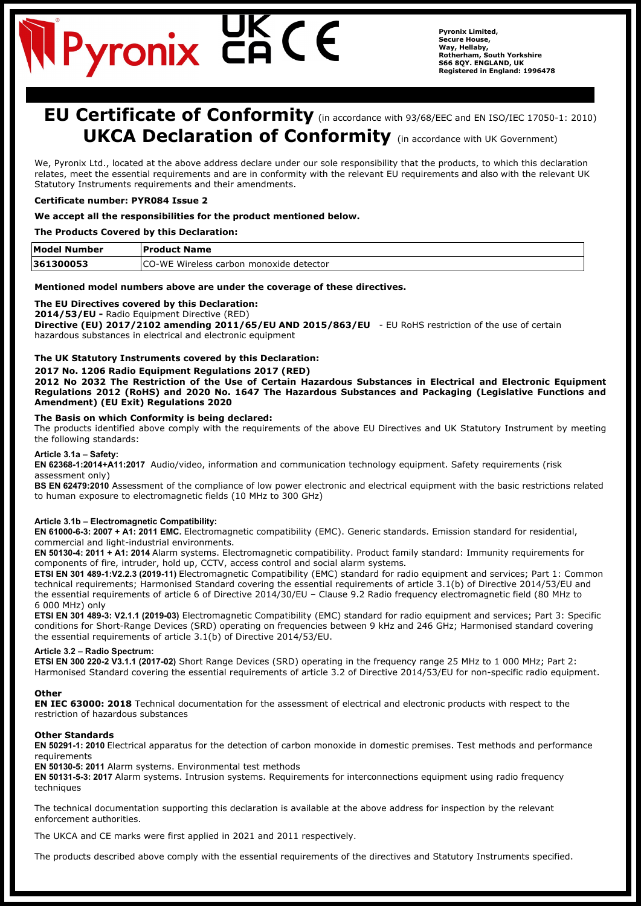# **Pyronix C**

**Pyronix Limited, Secure House, Way, Hellaby, Rotherham, South Yorkshire S66 8QY. ENGLAND, UK Registered in England: 1996478**

# **EU Certificate of Conformity** (in accordance with 93/68/EEC and EN ISO/IEC 17050-1: 2010) **UKCA Declaration of Conformity** (in accordance with UK Government)

We, Pyronix Ltd., located at the above address declare under our sole responsibility that the products, to which this declaration relates, meet the essential requirements and are in conformity with the relevant EU requirements and also with the relevant UK Statutory Instruments requirements and their amendments.

# **Certificate number: PYR084 Issue 2**

# **We accept all the responsibilities for the product mentioned below.**

# **The Products Covered by this Declaration:**

| <b>Model Number</b> | <b>Product Name</b>                      |
|---------------------|------------------------------------------|
| 361300053           | ICO-WE Wireless carbon monoxide detector |

# **Mentioned model numbers above are under the coverage of these directives.**

# **The EU Directives covered by this Declaration:**

**2014/53/EU -** Radio Equipment Directive (RED)

**Directive (EU) 2017/2102 amending 2011/65/EU AND 2015/863/EU** - EU RoHS restriction of the use of certain hazardous substances in electrical and electronic equipment

# **The UK Statutory Instruments covered by this Declaration:**

#### **2017 No. 1206 Radio Equipment Regulations 2017 (RED)**

**2012 No 2032 The Restriction of the Use of Certain Hazardous Substances in Electrical and Electronic Equipment Regulations 2012 (RoHS) and 2020 No. 1647 The Hazardous Substances and Packaging (Legislative Functions and Amendment) (EU Exit) Regulations 2020**

#### **The Basis on which Conformity is being declared:**

The products identified above comply with the requirements of the above EU Directives and UK Statutory Instrument by meeting the following standards:

#### **Article 3.1a – Safety:**

**EN 62368-1:2014+A11:2017** Audio/video, information and communication technology equipment. Safety requirements (risk assessment only)

**BS EN 62479:2010** Assessment of the compliance of low power electronic and electrical equipment with the basic restrictions related to human exposure to electromagnetic fields (10 MHz to 300 GHz)

## **Article 3.1b – Electromagnetic Compatibility:**

**EN 61000-6-3: 2007 + A1: 2011 EMC.** Electromagnetic compatibility (EMC). Generic standards. Emission standard for residential, commercial and light-industrial environments.

**EN 50130-4: 2011 + A1: 2014** Alarm systems. Electromagnetic compatibility. Product family standard: Immunity requirements for components of fire, intruder, hold up, CCTV, access control and social alarm systems**.**

**ETSI EN 301 489-1:V2.2.3 (2019-11)** Electromagnetic Compatibility (EMC) standard for radio equipment and services; Part 1: Common technical requirements; Harmonised Standard covering the essential requirements of article 3.1(b) of Directive 2014/53/EU and the essential requirements of article 6 of Directive 2014/30/EU – Clause 9.2 Radio frequency electromagnetic field (80 MHz to 6 000 MHz) only

**ETSI EN 301 489-3: V2.1.1 (2019-03)** Electromagnetic Compatibility (EMC) standard for radio equipment and services; Part 3: Specific conditions for Short-Range Devices (SRD) operating on frequencies between 9 kHz and 246 GHz; Harmonised standard covering the essential requirements of article 3.1(b) of Directive 2014/53/EU.

## **Article 3.2 – Radio Spectrum:**

**ETSI EN 300 220-2 V3.1.1 (2017-02)** Short Range Devices (SRD) operating in the frequency range 25 MHz to 1 000 MHz; Part 2: Harmonised Standard covering the essential requirements of article 3.2 of Directive 2014/53/EU for non-specific radio equipment.

## **Other**

**EN IEC 63000: 2018** Technical documentation for the assessment of electrical and electronic products with respect to the restriction of hazardous substances

## **Other Standards**

**EN 50291-1: 2010** Electrical apparatus for the detection of carbon monoxide in domestic premises. Test methods and performance requirements

**EN 50130-5: 2011** Alarm systems. Environmental test methods

**EN 50131-5-3: 2017** Alarm systems. Intrusion systems. Requirements for interconnections equipment using radio frequency techniques

The technical documentation supporting this declaration is available at the above address for inspection by the relevant enforcement authorities.

The UKCA and CE marks were first applied in 2021 and 2011 respectively.

The products described above comply with the essential requirements of the directives and Statutory Instruments specified.